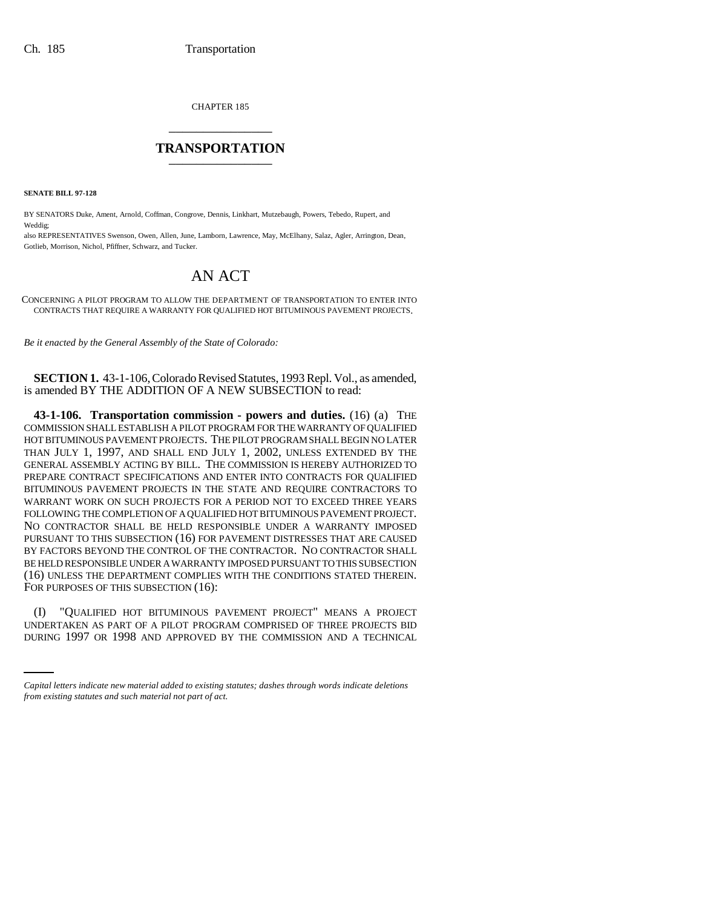CHAPTER 185 \_\_\_\_\_\_\_\_\_\_\_\_\_\_\_

## **TRANSPORTATION** \_\_\_\_\_\_\_\_\_\_\_\_\_\_\_

**SENATE BILL 97-128**

BY SENATORS Duke, Ament, Arnold, Coffman, Congrove, Dennis, Linkhart, Mutzebaugh, Powers, Tebedo, Rupert, and Weddig;

also REPRESENTATIVES Swenson, Owen, Allen, June, Lamborn, Lawrence, May, McElhany, Salaz, Agler, Arrington, Dean, Gotlieb, Morrison, Nichol, Pfiffner, Schwarz, and Tucker.

## AN ACT

CONCERNING A PILOT PROGRAM TO ALLOW THE DEPARTMENT OF TRANSPORTATION TO ENTER INTO CONTRACTS THAT REQUIRE A WARRANTY FOR QUALIFIED HOT BITUMINOUS PAVEMENT PROJECTS.

*Be it enacted by the General Assembly of the State of Colorado:*

**SECTION 1.** 43-1-106, Colorado Revised Statutes, 1993 Repl. Vol., as amended, is amended BY THE ADDITION OF A NEW SUBSECTION to read:

**43-1-106. Transportation commission - powers and duties.** (16) (a) THE COMMISSION SHALL ESTABLISH A PILOT PROGRAM FOR THE WARRANTY OF QUALIFIED HOT BITUMINOUS PAVEMENT PROJECTS. THE PILOT PROGRAM SHALL BEGIN NO LATER THAN JULY 1, 1997, AND SHALL END JULY 1, 2002, UNLESS EXTENDED BY THE GENERAL ASSEMBLY ACTING BY BILL. THE COMMISSION IS HEREBY AUTHORIZED TO PREPARE CONTRACT SPECIFICATIONS AND ENTER INTO CONTRACTS FOR QUALIFIED BITUMINOUS PAVEMENT PROJECTS IN THE STATE AND REQUIRE CONTRACTORS TO WARRANT WORK ON SUCH PROJECTS FOR A PERIOD NOT TO EXCEED THREE YEARS FOLLOWING THE COMPLETION OF A QUALIFIED HOT BITUMINOUS PAVEMENT PROJECT. NO CONTRACTOR SHALL BE HELD RESPONSIBLE UNDER A WARRANTY IMPOSED PURSUANT TO THIS SUBSECTION (16) FOR PAVEMENT DISTRESSES THAT ARE CAUSED BY FACTORS BEYOND THE CONTROL OF THE CONTRACTOR. NO CONTRACTOR SHALL BE HELD RESPONSIBLE UNDER A WARRANTY IMPOSED PURSUANT TO THIS SUBSECTION (16) UNLESS THE DEPARTMENT COMPLIES WITH THE CONDITIONS STATED THEREIN. FOR PURPOSES OF THIS SUBSECTION (16):

(I) "QUALIFIED HOT BITUMINOUS PAVEMENT PROJECT" MEANS A PROJECT UNDERTAKEN AS PART OF A PILOT PROGRAM COMPRISED OF THREE PROJECTS BID DURING 1997 OR 1998 AND APPROVED BY THE COMMISSION AND A TECHNICAL

*Capital letters indicate new material added to existing statutes; dashes through words indicate deletions from existing statutes and such material not part of act.*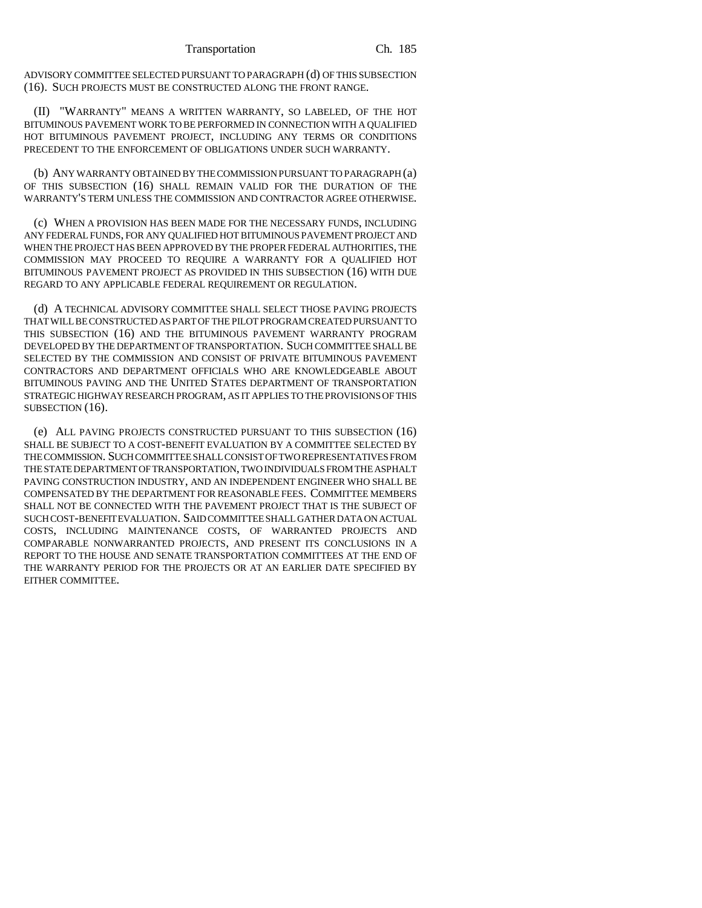ADVISORY COMMITTEE SELECTED PURSUANT TO PARAGRAPH (d) OF THIS SUBSECTION (16). SUCH PROJECTS MUST BE CONSTRUCTED ALONG THE FRONT RANGE.

(II) "WARRANTY" MEANS A WRITTEN WARRANTY, SO LABELED, OF THE HOT BITUMINOUS PAVEMENT WORK TO BE PERFORMED IN CONNECTION WITH A QUALIFIED HOT BITUMINOUS PAVEMENT PROJECT, INCLUDING ANY TERMS OR CONDITIONS PRECEDENT TO THE ENFORCEMENT OF OBLIGATIONS UNDER SUCH WARRANTY.

(b) ANY WARRANTY OBTAINED BY THE COMMISSION PURSUANT TO PARAGRAPH (a) OF THIS SUBSECTION (16) SHALL REMAIN VALID FOR THE DURATION OF THE WARRANTY'S TERM UNLESS THE COMMISSION AND CONTRACTOR AGREE OTHERWISE.

(c) WHEN A PROVISION HAS BEEN MADE FOR THE NECESSARY FUNDS, INCLUDING ANY FEDERAL FUNDS, FOR ANY QUALIFIED HOT BITUMINOUS PAVEMENT PROJECT AND WHEN THE PROJECT HAS BEEN APPROVED BY THE PROPER FEDERAL AUTHORITIES, THE COMMISSION MAY PROCEED TO REQUIRE A WARRANTY FOR A QUALIFIED HOT BITUMINOUS PAVEMENT PROJECT AS PROVIDED IN THIS SUBSECTION (16) WITH DUE REGARD TO ANY APPLICABLE FEDERAL REQUIREMENT OR REGULATION.

(d) A TECHNICAL ADVISORY COMMITTEE SHALL SELECT THOSE PAVING PROJECTS THAT WILL BE CONSTRUCTED AS PART OF THE PILOT PROGRAM CREATED PURSUANT TO THIS SUBSECTION (16) AND THE BITUMINOUS PAVEMENT WARRANTY PROGRAM DEVELOPED BY THE DEPARTMENT OF TRANSPORTATION. SUCH COMMITTEE SHALL BE SELECTED BY THE COMMISSION AND CONSIST OF PRIVATE BITUMINOUS PAVEMENT CONTRACTORS AND DEPARTMENT OFFICIALS WHO ARE KNOWLEDGEABLE ABOUT BITUMINOUS PAVING AND THE UNITED STATES DEPARTMENT OF TRANSPORTATION STRATEGIC HIGHWAY RESEARCH PROGRAM, AS IT APPLIES TO THE PROVISIONS OF THIS SUBSECTION (16).

(e) ALL PAVING PROJECTS CONSTRUCTED PURSUANT TO THIS SUBSECTION (16) SHALL BE SUBJECT TO A COST-BENEFIT EVALUATION BY A COMMITTEE SELECTED BY THE COMMISSION. SUCH COMMITTEE SHALL CONSIST OF TWO REPRESENTATIVES FROM THE STATE DEPARTMENT OF TRANSPORTATION, TWO INDIVIDUALS FROM THE ASPHALT PAVING CONSTRUCTION INDUSTRY, AND AN INDEPENDENT ENGINEER WHO SHALL BE COMPENSATED BY THE DEPARTMENT FOR REASONABLE FEES. COMMITTEE MEMBERS SHALL NOT BE CONNECTED WITH THE PAVEMENT PROJECT THAT IS THE SUBJECT OF SUCH COST-BENEFIT EVALUATION. SAID COMMITTEE SHALL GATHER DATA ON ACTUAL COSTS, INCLUDING MAINTENANCE COSTS, OF WARRANTED PROJECTS AND COMPARABLE NONWARRANTED PROJECTS, AND PRESENT ITS CONCLUSIONS IN A REPORT TO THE HOUSE AND SENATE TRANSPORTATION COMMITTEES AT THE END OF THE WARRANTY PERIOD FOR THE PROJECTS OR AT AN EARLIER DATE SPECIFIED BY EITHER COMMITTEE.